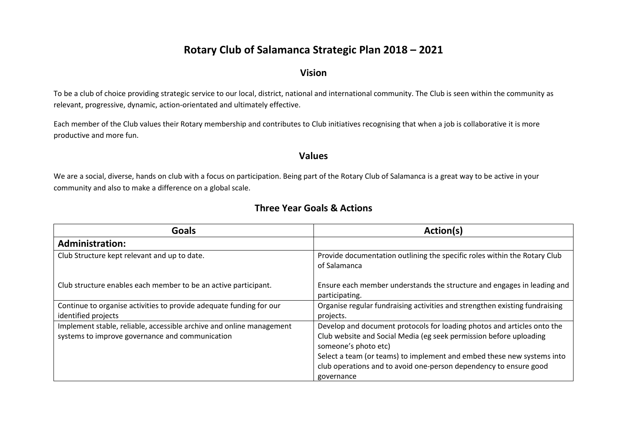## **Rotary Club of Salamanca Strategic Plan 2018 – 2021**

## **Vision**

To be a club of choice providing strategic service to our local, district, national and international community. The Club is seen within the community as relevant, progressive, dynamic, action-orientated and ultimately effective.

Each member of the Club values their Rotary membership and contributes to Club initiatives recognising that when a job is collaborative it is more productive and more fun.

## **Values**

We are a social, diverse, hands on club with a focus on participation. Being part of the Rotary Club of Salamanca is a great way to be active in your community and also to make a difference on a global scale.

## **Three Year Goals & Actions**

| Goals                                                                | Action(s)                                                                                  |
|----------------------------------------------------------------------|--------------------------------------------------------------------------------------------|
| <b>Administration:</b>                                               |                                                                                            |
| Club Structure kept relevant and up to date.                         | Provide documentation outlining the specific roles within the Rotary Club<br>of Salamanca  |
| Club structure enables each member to be an active participant.      | Ensure each member understands the structure and engages in leading and<br>participating.  |
| Continue to organise activities to provide adequate funding for our  | Organise regular fundraising activities and strengthen existing fundraising                |
| identified projects                                                  | projects.                                                                                  |
| Implement stable, reliable, accessible archive and online management | Develop and document protocols for loading photos and articles onto the                    |
| systems to improve governance and communication                      | Club website and Social Media (eg seek permission before uploading<br>someone's photo etc) |
|                                                                      | Select a team (or teams) to implement and embed these new systems into                     |
|                                                                      | club operations and to avoid one-person dependency to ensure good                          |
|                                                                      | governance                                                                                 |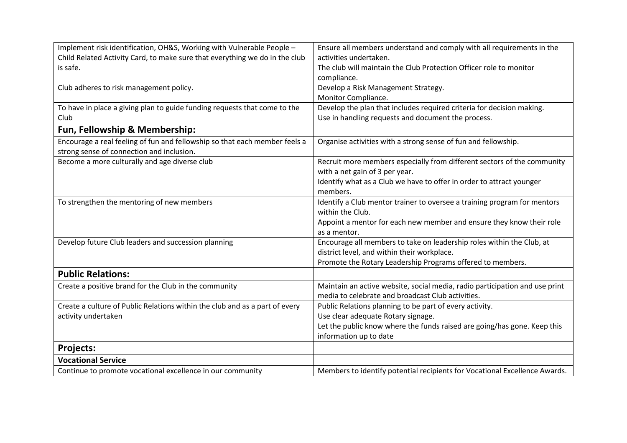| Implement risk identification, OH&S, Working with Vulnerable People -       | Ensure all members understand and comply with all requirements in the       |
|-----------------------------------------------------------------------------|-----------------------------------------------------------------------------|
| Child Related Activity Card, to make sure that everything we do in the club | activities undertaken.                                                      |
| is safe.                                                                    | The club will maintain the Club Protection Officer role to monitor          |
|                                                                             | compliance.                                                                 |
| Club adheres to risk management policy.                                     | Develop a Risk Management Strategy.                                         |
|                                                                             | Monitor Compliance.                                                         |
| To have in place a giving plan to guide funding requests that come to the   | Develop the plan that includes required criteria for decision making.       |
| Club                                                                        | Use in handling requests and document the process.                          |
| Fun, Fellowship & Membership:                                               |                                                                             |
| Encourage a real feeling of fun and fellowship so that each member feels a  | Organise activities with a strong sense of fun and fellowship.              |
| strong sense of connection and inclusion.                                   |                                                                             |
| Become a more culturally and age diverse club                               | Recruit more members especially from different sectors of the community     |
|                                                                             | with a net gain of 3 per year.                                              |
|                                                                             | Identify what as a Club we have to offer in order to attract younger        |
|                                                                             | members.                                                                    |
| To strengthen the mentoring of new members                                  | Identify a Club mentor trainer to oversee a training program for mentors    |
|                                                                             | within the Club.                                                            |
|                                                                             | Appoint a mentor for each new member and ensure they know their role        |
|                                                                             | as a mentor.                                                                |
| Develop future Club leaders and succession planning                         | Encourage all members to take on leadership roles within the Club, at       |
|                                                                             | district level, and within their workplace.                                 |
|                                                                             | Promote the Rotary Leadership Programs offered to members.                  |
| <b>Public Relations:</b>                                                    |                                                                             |
| Create a positive brand for the Club in the community                       | Maintain an active website, social media, radio participation and use print |
|                                                                             | media to celebrate and broadcast Club activities.                           |
| Create a culture of Public Relations within the club and as a part of every | Public Relations planning to be part of every activity.                     |
| activity undertaken                                                         | Use clear adequate Rotary signage.                                          |
|                                                                             | Let the public know where the funds raised are going/has gone. Keep this    |
|                                                                             | information up to date                                                      |
| <b>Projects:</b>                                                            |                                                                             |
| <b>Vocational Service</b>                                                   |                                                                             |
| Continue to promote vocational excellence in our community                  | Members to identify potential recipients for Vocational Excellence Awards.  |